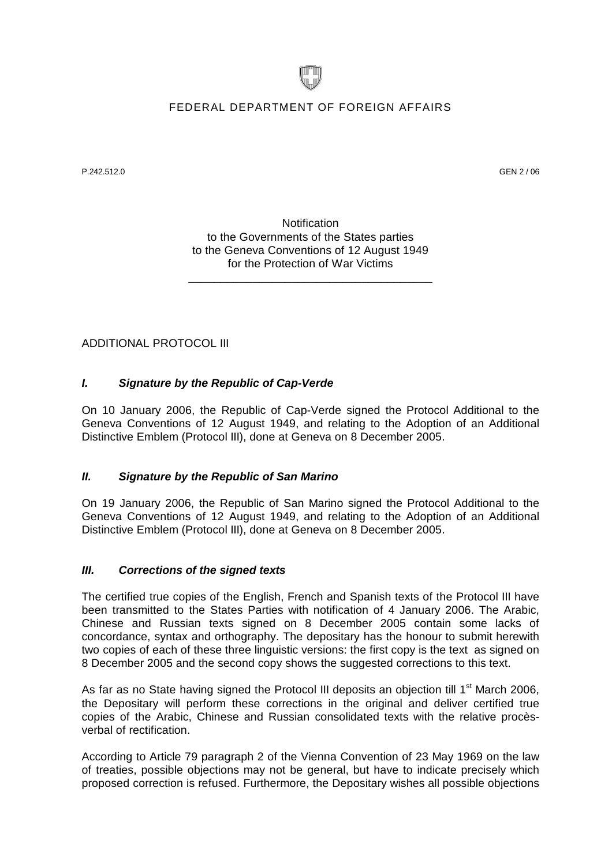

## FEDERAL DEPARTMENT OF FOREIGN AFFAIRS

P.242.512.0 GEN 2 / 06

**Notification** to the Governments of the States parties to the Geneva Conventions of 12 August 1949 for the Protection of War Victims

\_\_\_\_\_\_\_\_\_\_\_\_\_\_\_\_\_\_\_\_\_\_\_\_\_\_\_\_\_\_\_\_\_\_\_\_\_\_

ADDITIONAL PROTOCOL III

## *I. Signature by the Republic of Cap-Verde*

On 10 January 2006, the Republic of Cap-Verde signed the Protocol Additional to the Geneva Conventions of 12 August 1949, and relating to the Adoption of an Additional Distinctive Emblem (Protocol III), done at Geneva on 8 December 2005.

#### *II. Signature by the Republic of San Marino*

On 19 January 2006, the Republic of San Marino signed the Protocol Additional to the Geneva Conventions of 12 August 1949, and relating to the Adoption of an Additional Distinctive Emblem (Protocol III), done at Geneva on 8 December 2005.

## *III. Corrections of the signed texts*

The certified true copies of the English, French and Spanish texts of the Protocol III have been transmitted to the States Parties with notification of 4 January 2006. The Arabic, Chinese and Russian texts signed on 8 December 2005 contain some lacks of concordance, syntax and orthography. The depositary has the honour to submit herewith two copies of each of these three linguistic versions: the first copy is the text as signed on 8 December 2005 and the second copy shows the suggested corrections to this text.

As far as no State having signed the Protocol III deposits an obiection till  $1<sup>st</sup>$  March 2006. the Depositary will perform these corrections in the original and deliver certified true copies of the Arabic, Chinese and Russian consolidated texts with the relative procèsverbal of rectification.

According to Article 79 paragraph 2 of the Vienna Convention of 23 May 1969 on the law of treaties, possible objections may not be general, but have to indicate precisely which proposed correction is refused. Furthermore, the Depositary wishes all possible objections